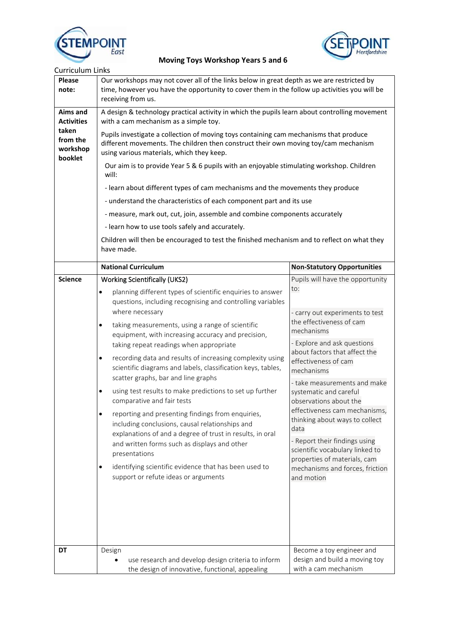



| <b>Curriculum Links</b>                  |                                                                                                                                                                                                                                                                                                                                                                                                                                                                                                                                                                                                                                                                                                                                                                    |                                                                                                                                                                                                                                                                 |  |                |                                                                                                                                                          |                                        |
|------------------------------------------|--------------------------------------------------------------------------------------------------------------------------------------------------------------------------------------------------------------------------------------------------------------------------------------------------------------------------------------------------------------------------------------------------------------------------------------------------------------------------------------------------------------------------------------------------------------------------------------------------------------------------------------------------------------------------------------------------------------------------------------------------------------------|-----------------------------------------------------------------------------------------------------------------------------------------------------------------------------------------------------------------------------------------------------------------|--|----------------|----------------------------------------------------------------------------------------------------------------------------------------------------------|----------------------------------------|
| <b>Please</b><br>note:                   | Our workshops may not cover all of the links below in great depth as we are restricted by<br>time, however you have the opportunity to cover them in the follow up activities you will be<br>receiving from us.                                                                                                                                                                                                                                                                                                                                                                                                                                                                                                                                                    |                                                                                                                                                                                                                                                                 |  |                |                                                                                                                                                          |                                        |
| Aims and<br><b>Activities</b>            | A design & technology practical activity in which the pupils learn about controlling movement<br>with a cam mechanism as a simple toy.<br>Pupils investigate a collection of moving toys containing cam mechanisms that produce<br>different movements. The children then construct their own moving toy/cam mechanism<br>using various materials, which they keep.<br>Our aim is to provide Year 5 & 6 pupils with an enjoyable stimulating workshop. Children<br>will:<br>- learn about different types of cam mechanisms and the movements they produce<br>- understand the characteristics of each component part and its use<br>- measure, mark out, cut, join, assemble and combine components accurately<br>- learn how to use tools safely and accurately. |                                                                                                                                                                                                                                                                 |  |                |                                                                                                                                                          |                                        |
| taken<br>from the<br>workshop<br>booklet |                                                                                                                                                                                                                                                                                                                                                                                                                                                                                                                                                                                                                                                                                                                                                                    |                                                                                                                                                                                                                                                                 |  |                |                                                                                                                                                          |                                        |
|                                          |                                                                                                                                                                                                                                                                                                                                                                                                                                                                                                                                                                                                                                                                                                                                                                    |                                                                                                                                                                                                                                                                 |  |                | Children will then be encouraged to test the finished mechanism and to reflect on what they<br>have made.                                                |                                        |
|                                          |                                                                                                                                                                                                                                                                                                                                                                                                                                                                                                                                                                                                                                                                                                                                                                    |                                                                                                                                                                                                                                                                 |  |                | <b>National Curriculum</b>                                                                                                                               | <b>Non-Statutory Opportunities</b>     |
|                                          |                                                                                                                                                                                                                                                                                                                                                                                                                                                                                                                                                                                                                                                                                                                                                                    |                                                                                                                                                                                                                                                                 |  | <b>Science</b> | <b>Working Scientifically (UKS2)</b>                                                                                                                     | Pupils will have the opportunity       |
|                                          |                                                                                                                                                                                                                                                                                                                                                                                                                                                                                                                                                                                                                                                                                                                                                                    |                                                                                                                                                                                                                                                                 |  |                | planning different types of scientific enquiries to answer<br>$\bullet$<br>questions, including recognising and controlling variables<br>where necessary | to:<br>- carry out experiments to test |
|                                          |                                                                                                                                                                                                                                                                                                                                                                                                                                                                                                                                                                                                                                                                                                                                                                    |                                                                                                                                                                                                                                                                 |  |                | taking measurements, using a range of scientific<br>٠<br>equipment, with increasing accuracy and precision,                                              | the effectiveness of cam<br>mechanisms |
|                                          | taking repeat readings when appropriate<br>recording data and results of increasing complexity using<br>$\bullet$<br>scientific diagrams and labels, classification keys, tables,                                                                                                                                                                                                                                                                                                                                                                                                                                                                                                                                                                                  | - Explore and ask questions<br>about factors that affect the<br>effectiveness of cam<br>mechanisms                                                                                                                                                              |  |                |                                                                                                                                                          |                                        |
|                                          | scatter graphs, bar and line graphs                                                                                                                                                                                                                                                                                                                                                                                                                                                                                                                                                                                                                                                                                                                                | - take measurements and make<br>systematic and careful<br>observations about the<br>effectiveness cam mechanisms,<br>thinking about ways to collect<br>data<br>- Report their findings using<br>scientific vocabulary linked to<br>properties of materials, cam |  |                |                                                                                                                                                          |                                        |
|                                          | using test results to make predictions to set up further<br>$\bullet$<br>comparative and fair tests                                                                                                                                                                                                                                                                                                                                                                                                                                                                                                                                                                                                                                                                |                                                                                                                                                                                                                                                                 |  |                |                                                                                                                                                          |                                        |
|                                          | reporting and presenting findings from enquiries,<br>$\bullet$<br>including conclusions, causal relationships and<br>explanations of and a degree of trust in results, in oral<br>and written forms such as displays and other<br>presentations                                                                                                                                                                                                                                                                                                                                                                                                                                                                                                                    |                                                                                                                                                                                                                                                                 |  |                |                                                                                                                                                          |                                        |
|                                          | identifying scientific evidence that has been used to<br>٠<br>support or refute ideas or arguments                                                                                                                                                                                                                                                                                                                                                                                                                                                                                                                                                                                                                                                                 | mechanisms and forces, friction<br>and motion                                                                                                                                                                                                                   |  |                |                                                                                                                                                          |                                        |
| DT                                       |                                                                                                                                                                                                                                                                                                                                                                                                                                                                                                                                                                                                                                                                                                                                                                    | Become a toy engineer and                                                                                                                                                                                                                                       |  |                |                                                                                                                                                          |                                        |
|                                          | Design<br>use research and develop design criteria to inform<br>the design of innovative, functional, appealing                                                                                                                                                                                                                                                                                                                                                                                                                                                                                                                                                                                                                                                    | design and build a moving toy<br>with a cam mechanism                                                                                                                                                                                                           |  |                |                                                                                                                                                          |                                        |